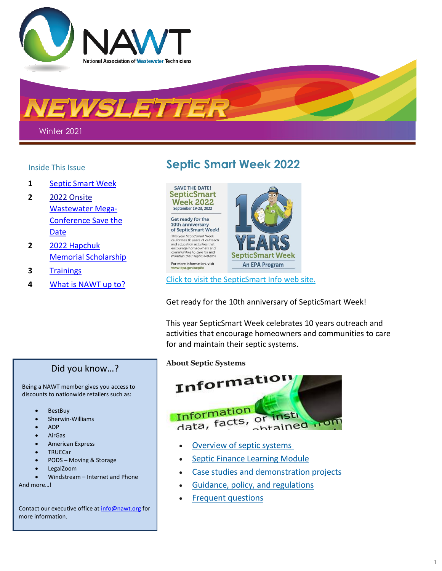

EWSLETTER

Winter 2021

- **1** Septic Smart Week
- **2** 2022 Onsite Wastewater Mega-Conference Save the Date
- **2** 2022 [Hapchuk](#page-1-0)  [Memorial Scholarship](#page-1-0)
- **3** [Trainings](#page-2-0)
- **4** [What is NAWT up to?](#page-3-0)

# Inside This Issue **Septic Smart Week 2022**



Click to visit the [SepticSmart](https://www.epa.gov/septic/septicsmart-week) Info web site.

Get ready for the 10th anniversary of SepticSmart Week!

This year SepticSmart Week celebrates 10 years outreach and activities that encourage homeowners and communities to care for and maintain their septic systems.

**About Septic Systems**



- [Overview of septic systems](https://www.epa.gov/node/88343/)
- [Septic Finance Learning Module](https://ofmpub.epa.gov/apex/wfc/f?p=165:9:17277233415323::NO:9:P9_MODULE:Financing_Septic_Systems)
- [Case studies and demonstration projects](https://www.epa.gov/node/88355/)
- [Guidance, policy, and regulations](https://www.epa.gov/node/91587/)
- Frequent [questions](https://www.epa.gov/septic/frequent-questions-septic-systems)

Did you know…?

Being a NAWT member gives you access to discounts to nationwide retailers such as:

- BestBuy
- Sherwin-Williams
- ADP
- AirGas
- American Express
- **TRUECar**
- PODS Moving & Storage
- LegalZoom
- Windstream Internet and Phone

And more…!

Contact our executive office at [info@nawt.org](mailto:info@nawt.org) for more information.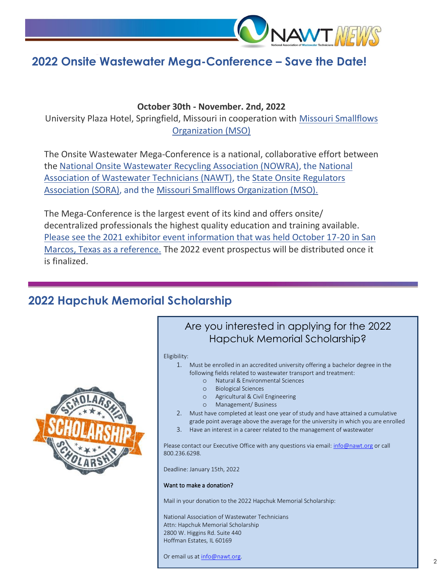

# **2022 Onsite Wastewater Mega-Conference – Save the Date!**

**October 30th - November. 2nd, 2022**

University Plaza Hotel, Springfield, Missouri in cooperation with [Missouri Smallflows](http://www.mosmallflows.org/)  [Organization \(MSO\)](http://www.mosmallflows.org/)

The Onsite Wastewater Mega-Conference is a national, collaborative effort between the [National Onsite Wastewater Recycling Association \(NOWRA\),](https://www.nowra.org/) the [National](https://nawt.org/)  [Association of Wastewater Technicians \(NAWT\),](https://nawt.org/) the [State Onsite Regulators](http://www.soraus.com/)  [Association \(SORA\),](http://www.soraus.com/) and the [Missouri Smallflows Organization \(MSO\).](http://www.mosmallflows.org/)

The Mega-Conference is the largest event of its kind and offers onsite/ decentralized professionals the highest quality education and training available. [Please see the 2021 exhibitor event information that was held October 17-20 in San](https://www.nowra.org/conference/mega-conference/exhibitor-information/)  [Marcos, Texas as a reference.](https://www.nowra.org/conference/mega-conference/exhibitor-information/) The 2022 event prospectus will be distributed once it is finalized.

## <span id="page-1-0"></span>**2022 Hapchuk Memorial Scholarship**



### Are you interested in applying for the 2022 Hapchuk Memorial Scholarship?

### Eligibility:

- 1. Must be enrolled in an accredited university offering a bachelor degree in the following fields related to wastewater transport and treatment:
	- o Natural & Environmental Sciences
	- o Biological Sciences
	- o Agricultural & Civil Engineering
	- o Management/ Business
- 2. Must have completed at least one year of study and have attained a cumulative grade point average above the average for the university in which you are enrolled
- 3. Have an interest in a career related to the management of wastewater

Please contact our Executive Office with any questions via email: [info@nawt.org](mailto:info@nawt.org) or call 800.236.6298.

Deadline: January 15th, 2022

### Want to make a donation?

Mail in your donation to the 2022 Hapchuk Memorial Scholarship:

National Association of Wastewater Technicians Attn: Hapchuk Memorial Scholarship 2800 W. Higgins Rd. Suite 440 Hoffman Estates, IL 60169

Or email us at info@nawt.org.

֦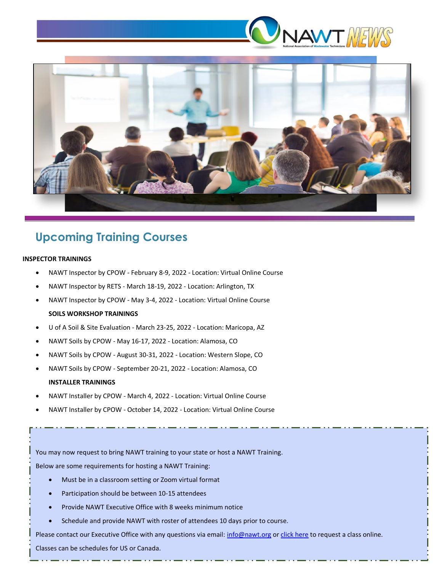



# <span id="page-2-0"></span>**Upcoming Training Courses**

### **INSPECTOR TRAININGS**

- NAWT Inspector by CPOW February 8-9, 2022 Location: Virtual Online Course
- NAWT Inspector by RETS March 18-19, 2022 Location: Arlington, TX
- NAWT Inspector by CPOW May 3-4, 2022 Location: Virtual Online Course **SOILS WORKSHOP TRAININGS**
- U of A Soil & Site Evaluation March 23-25, 2022 Location: Maricopa, AZ
- NAWT Soils by CPOW May 16-17, 2022 Location: Alamosa, CO
- NAWT Soils by CPOW August 30-31, 2022 Location: Western Slope, CO
- NAWT Soils by CPOW September 20-21, 2022 Location: Alamosa, CO **INSTALLER TRAININGS**
- NAWT Installer by CPOW March 4, 2022 Location: Virtual Online Course
- NAWT Installer by CPOW October 14, 2022 Location: Virtual Online Course

You may now request to bring NAWT training to your state or host a NAWT Training.

Below are some requirements for hosting a NAWT Training: Need Training in Your State?

- Must be in a classroom setting or Zoom virtual format
- Participation should be between 10-15 attendees
- Provide NAWT Executive Office with 8 weeks minimum notice
- Schedule and provide NAWT with roster of attendees 10 days prior to course.

Please contact our Executive Office with any questions via email[: info@nawt.org](mailto:info@nawt.org) or [click here](http://www.nawt.co/online_course_request.html) to request a class online.

Classes can be schedules for US or Canada.